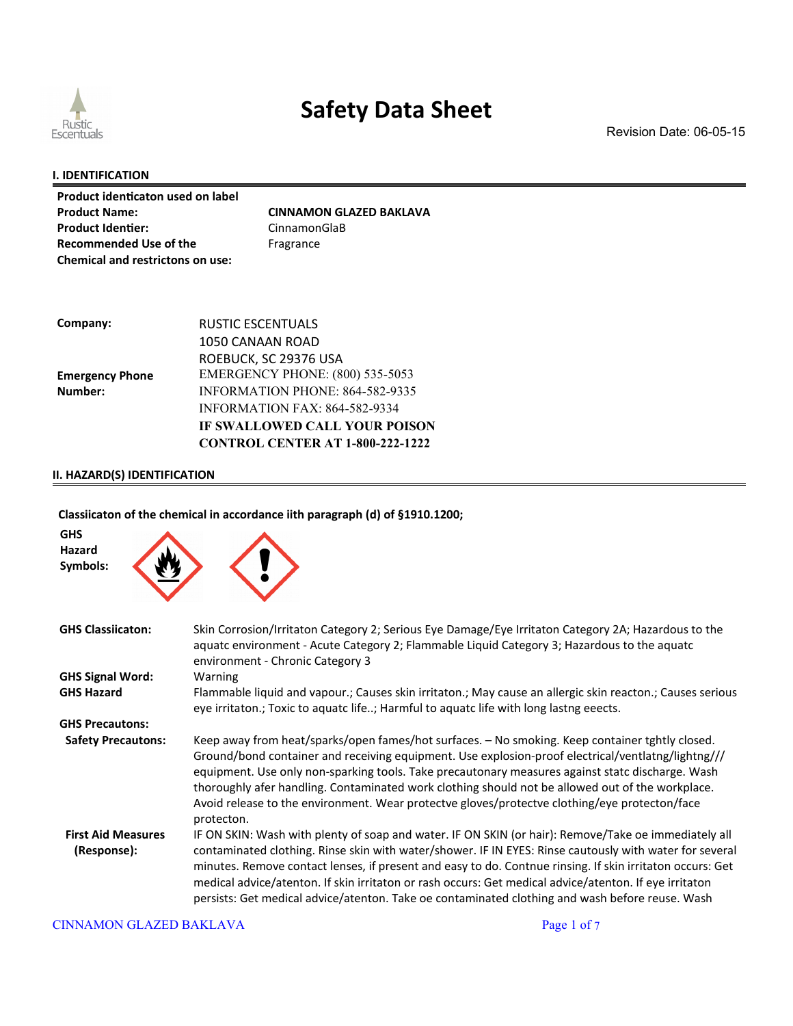

Revision Date: 06-05-15

#### **I. IDENTIFICATION**

| Product identicaton used on label |                                |
|-----------------------------------|--------------------------------|
| <b>Product Name:</b>              | <b>CINNAMON GLAZED BAKLAVA</b> |
| <b>Product Identier:</b>          | CinnamonGlaB                   |
| <b>Recommended Use of the</b>     | Fragrance                      |
| Chemical and restrictons on use:  |                                |

| Company:               | RUSTIC ESCENTUALS                       |
|------------------------|-----------------------------------------|
|                        | 1050 CANAAN ROAD                        |
|                        | ROEBUCK, SC 29376 USA                   |
| <b>Emergency Phone</b> | <b>EMERGENCY PHONE: (800) 535-5053</b>  |
| Number:                | <b>INFORMATION PHONE: 864-582-9335</b>  |
|                        | <b>INFORMATION FAX: 864-582-9334</b>    |
|                        | IF SWALLOWED CALL YOUR POISON           |
|                        | <b>CONTROL CENTER AT 1-800-222-1222</b> |

### **II. HAZARD(S) IDENTIFICATION**

### **Classiicaton of the chemical in accordance iith paragraph (d) of §1910.1200;**

| <b>GHS</b><br>Hazard<br>Symbols:         |                                                                                                                                                                                                                                                                                                                                                                                                                                                                                                                                           |
|------------------------------------------|-------------------------------------------------------------------------------------------------------------------------------------------------------------------------------------------------------------------------------------------------------------------------------------------------------------------------------------------------------------------------------------------------------------------------------------------------------------------------------------------------------------------------------------------|
| <b>GHS Classiicaton:</b>                 | Skin Corrosion/Irritaton Category 2; Serious Eye Damage/Eye Irritaton Category 2A; Hazardous to the<br>aquatc environment - Acute Category 2; Flammable Liquid Category 3; Hazardous to the aquatc<br>environment - Chronic Category 3                                                                                                                                                                                                                                                                                                    |
| <b>GHS Signal Word:</b>                  | Warning                                                                                                                                                                                                                                                                                                                                                                                                                                                                                                                                   |
| <b>GHS Hazard</b>                        | Flammable liquid and vapour.; Causes skin irritaton.; May cause an allergic skin reacton.; Causes serious<br>eye irritaton.; Toxic to aquatc life; Harmful to aquatc life with long lastng eeects.                                                                                                                                                                                                                                                                                                                                        |
| <b>GHS Precautons:</b>                   |                                                                                                                                                                                                                                                                                                                                                                                                                                                                                                                                           |
| <b>Safety Precautons:</b>                | Keep away from heat/sparks/open fames/hot surfaces. - No smoking. Keep container tghtly closed.<br>Ground/bond container and receiving equipment. Use explosion-proof electrical/ventlatng/lightng///<br>equipment. Use only non-sparking tools. Take precautonary measures against statc discharge. Wash<br>thoroughly afer handling. Contaminated work clothing should not be allowed out of the workplace.<br>Avoid release to the environment. Wear protectve gloves/protectve clothing/eye protecton/face<br>protecton.              |
| <b>First Aid Measures</b><br>(Response): | IF ON SKIN: Wash with plenty of soap and water. IF ON SKIN (or hair): Remove/Take oe immediately all<br>contaminated clothing. Rinse skin with water/shower. IF IN EYES: Rinse cautously with water for several<br>minutes. Remove contact lenses, if present and easy to do. Contnue rinsing. If skin irritaton occurs: Get<br>medical advice/atenton. If skin irritaton or rash occurs: Get medical advice/atenton. If eye irritaton<br>persists: Get medical advice/atenton. Take oe contaminated clothing and wash before reuse. Wash |

#### CINNAMON GLAZED BAKLAVA Page 1 of 7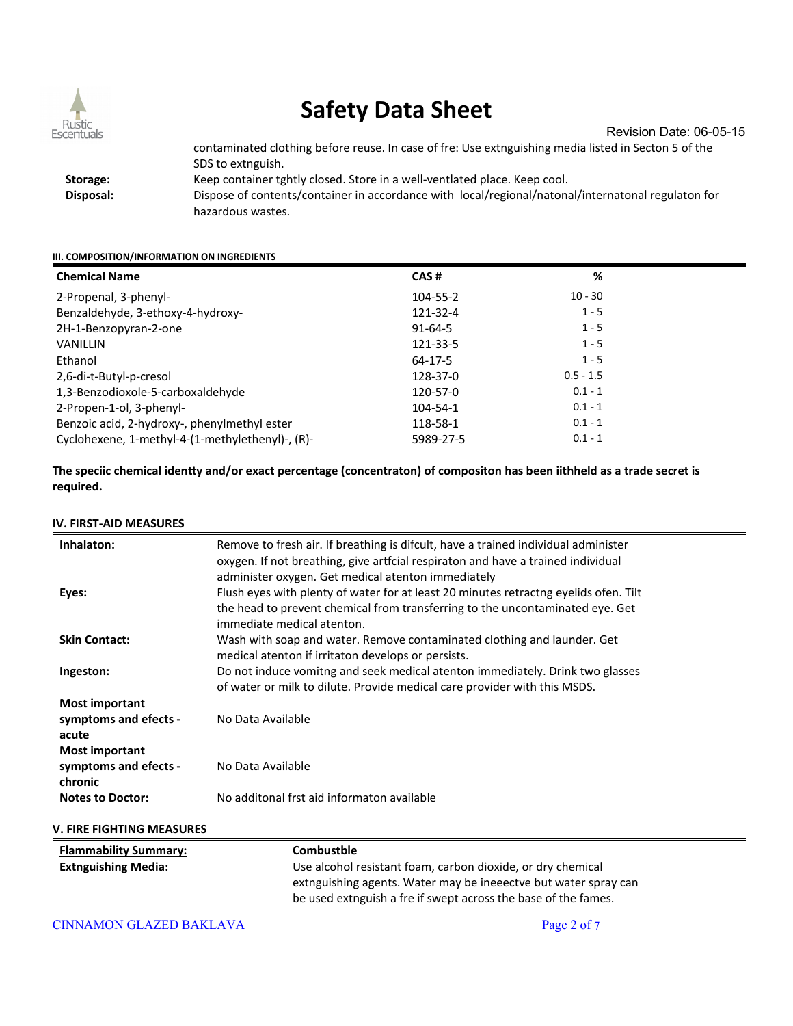

Revision Date: 06-05-15

contaminated clothing before reuse. In case of fre: Use extnguishing media listed in Secton 5 of the SDS to extnguish.  **Storage:** Keep container tghtly closed. Store in a well-ventlated place. Keep cool.  **Disposal:** Dispose of contents/container in accordance with local/regional/natonal/internatonal regulaton for hazardous wastes.

#### **III. COMPOSITION/INFORMATION ON INGREDIENTS**

| <b>Chemical Name</b>                             | CAS#          | %           |
|--------------------------------------------------|---------------|-------------|
| 2-Propenal, 3-phenyl-                            | 104-55-2      | $10 - 30$   |
| Benzaldehyde, 3-ethoxy-4-hydroxy-                | 121-32-4      | $1 - 5$     |
| 2H-1-Benzopyran-2-one                            | $91 - 64 - 5$ | $1 - 5$     |
| <b>VANILLIN</b>                                  | 121-33-5      | $1 - 5$     |
| Ethanol                                          | 64-17-5       | $1 - 5$     |
| 2,6-di-t-Butyl-p-cresol                          | 128-37-0      | $0.5 - 1.5$ |
| 1,3-Benzodioxole-5-carboxaldehyde                | 120-57-0      | $0.1 - 1$   |
| 2-Propen-1-ol, 3-phenyl-                         | 104-54-1      | $0.1 - 1$   |
| Benzoic acid, 2-hydroxy-, phenylmethyl ester     | 118-58-1      | $0.1 - 1$   |
| Cyclohexene, 1-methyl-4-(1-methylethenyl)-, (R)- | 5989-27-5     | $0.1 - 1$   |

**The speciic chemical identy and/or exact percentage (concentraton) of compositon has been iithheld as a trade secret is required.**

#### **IV. FIRST-AID MEASURES**

| Inhalaton:                                                                       | Remove to fresh air. If breathing is difcult, have a trained individual administer<br>oxygen. If not breathing, give artfcial respiraton and have a trained individual<br>administer oxygen. Get medical atenton immediately |
|----------------------------------------------------------------------------------|------------------------------------------------------------------------------------------------------------------------------------------------------------------------------------------------------------------------------|
| Eyes:                                                                            | Flush eyes with plenty of water for at least 20 minutes retractng eyelids ofen. Tilt<br>the head to prevent chemical from transferring to the uncontaminated eye. Get<br>immediate medical atenton.                          |
| <b>Skin Contact:</b>                                                             | Wash with soap and water. Remove contaminated clothing and launder. Get<br>medical atenton if irritaton develops or persists.                                                                                                |
| Ingeston:                                                                        | Do not induce vomitng and seek medical atenton immediately. Drink two glasses<br>of water or milk to dilute. Provide medical care provider with this MSDS.                                                                   |
| <b>Most important</b><br>symptoms and efects -<br>acute<br><b>Most important</b> | No Data Available                                                                                                                                                                                                            |
| symptoms and efects -<br>chronic                                                 | No Data Available                                                                                                                                                                                                            |
| <b>Notes to Doctor:</b>                                                          | No additonal frst aid informaton available                                                                                                                                                                                   |
| V. FIRE FIGHTING MEASURES                                                        |                                                                                                                                                                                                                              |

| <b>Flammability Summary:</b> | Combustble                                                                                                                        |
|------------------------------|-----------------------------------------------------------------------------------------------------------------------------------|
| <b>Extnguishing Media:</b>   | Use alcohol resistant foam, carbon dioxide, or dry chemical                                                                       |
|                              | extnguishing agents. Water may be ineeectve but water spray can<br>be used extnguish a fre if swept across the base of the fames. |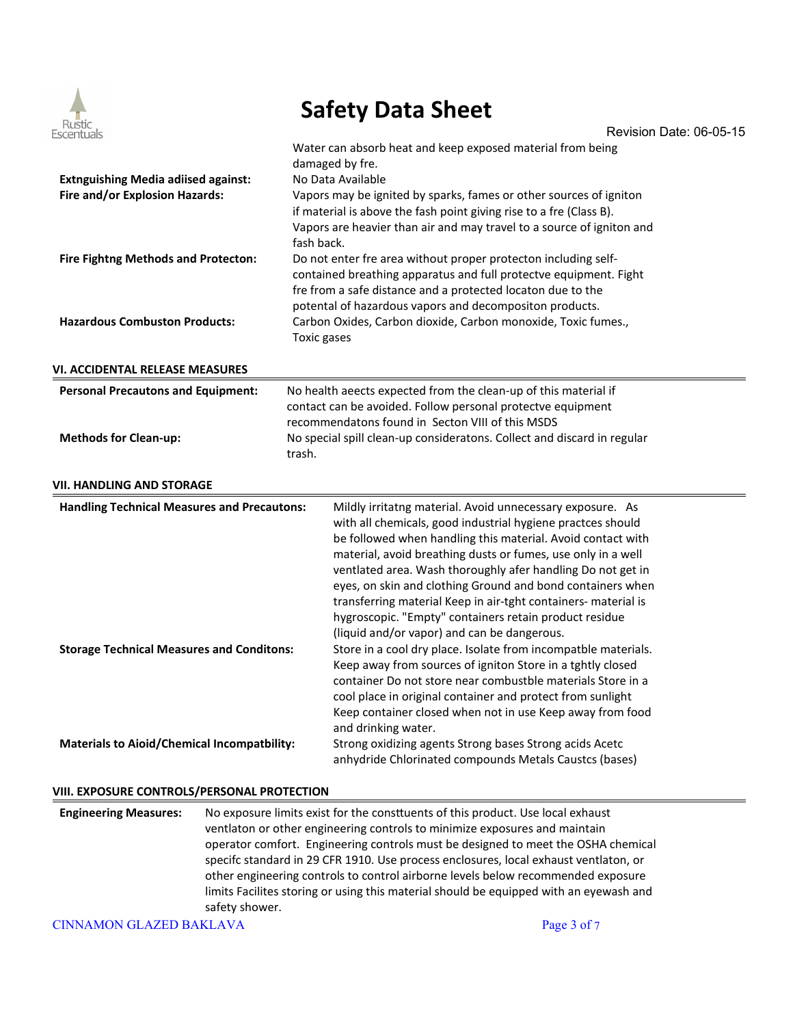

|                                                    | PUICLY DULU DIICCL                                                                                                                           |
|----------------------------------------------------|----------------------------------------------------------------------------------------------------------------------------------------------|
| Rustic<br>Escentuals                               | Revision Date: 06-05-15                                                                                                                      |
|                                                    | Water can absorb heat and keep exposed material from being                                                                                   |
|                                                    | damaged by fre.                                                                                                                              |
| <b>Extnguishing Media adiised against:</b>         | No Data Available                                                                                                                            |
| Fire and/or Explosion Hazards:                     | Vapors may be ignited by sparks, fames or other sources of igniton                                                                           |
|                                                    | if material is above the fash point giving rise to a fre (Class B).<br>Vapors are heavier than air and may travel to a source of igniton and |
|                                                    | fash back.                                                                                                                                   |
| Fire Fightng Methods and Protecton:                | Do not enter fre area without proper protecton including self-                                                                               |
|                                                    | contained breathing apparatus and full protectve equipment. Fight                                                                            |
|                                                    | fre from a safe distance and a protected locaton due to the                                                                                  |
|                                                    | potental of hazardous vapors and decompositon products.                                                                                      |
| <b>Hazardous Combuston Products:</b>               | Carbon Oxides, Carbon dioxide, Carbon monoxide, Toxic fumes.,                                                                                |
|                                                    | Toxic gases                                                                                                                                  |
|                                                    |                                                                                                                                              |
| VI. ACCIDENTAL RELEASE MEASURES                    |                                                                                                                                              |
| <b>Personal Precautons and Equipment:</b>          | No health aeects expected from the clean-up of this material if                                                                              |
|                                                    | contact can be avoided. Follow personal protectve equipment                                                                                  |
|                                                    | recommendatons found in Secton VIII of this MSDS                                                                                             |
| <b>Methods for Clean-up:</b>                       | No special spill clean-up consideratons. Collect and discard in regular                                                                      |
|                                                    | trash.                                                                                                                                       |
| VII. HANDLING AND STORAGE                          |                                                                                                                                              |
| <b>Handling Technical Measures and Precautons:</b> | Mildly irritatng material. Avoid unnecessary exposure. As                                                                                    |
|                                                    | with all chemicals, good industrial hygiene practces should                                                                                  |
|                                                    | be followed when handling this material. Avoid contact with                                                                                  |
|                                                    | material, avoid breathing dusts or fumes, use only in a well                                                                                 |
|                                                    | ventlated area. Wash thoroughly afer handling Do not get in                                                                                  |
|                                                    | eyes, on skin and clothing Ground and bond containers when                                                                                   |
|                                                    | transferring material Keep in air-tght containers- material is                                                                               |
|                                                    | hygroscopic. "Empty" containers retain product residue                                                                                       |
|                                                    | (liquid and/or vapor) and can be dangerous.<br>Store in a cool dry place. Isolate from incompatble materials.                                |
| <b>Storage Technical Measures and Conditons:</b>   | Keep away from sources of igniton Store in a tghtly closed                                                                                   |
|                                                    | container Do not store near combustble materials Store in a                                                                                  |
|                                                    | cool place in original container and protect from sunlight                                                                                   |
|                                                    | Keep container closed when not in use Keep away from food                                                                                    |
|                                                    | and drinking water.                                                                                                                          |
| <b>Materials to Aioid/Chemical Incompatbility:</b> | Strong oxidizing agents Strong bases Strong acids Acetc                                                                                      |
|                                                    | anhydride Chlorinated compounds Metals Caustcs (bases)                                                                                       |

### **VIII. EXPOSURE CONTROLS/PERSONAL PROTECTION**

| <b>Engineering Measures:</b> | No exposure limits exist for the constituents of this product. Use local exhaust       |
|------------------------------|----------------------------------------------------------------------------------------|
|                              | ventlaton or other engineering controls to minimize exposures and maintain             |
|                              | operator comfort. Engineering controls must be designed to meet the OSHA chemical      |
|                              | specifc standard in 29 CFR 1910. Use process enclosures, local exhaust ventlaton, or   |
|                              | other engineering controls to control airborne levels below recommended exposure       |
|                              | limits Facilites storing or using this material should be equipped with an eyewash and |
|                              | safety shower.                                                                         |

CINNAMON GLAZED BAKLAVA Page 3 of 7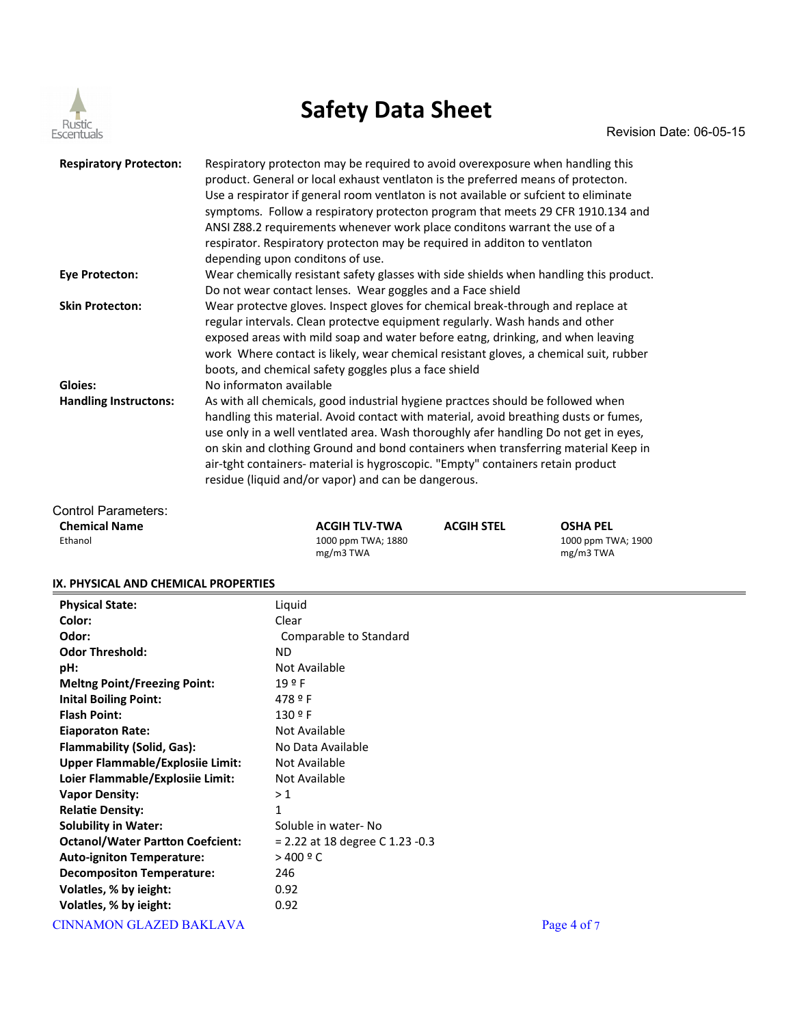

| Respiratory protecton may be required to avoid overexposure when handling this<br>product. General or local exhaust ventlaton is the preferred means of protecton.<br>Use a respirator if general room ventlaton is not available or sufcient to eliminate<br>symptoms. Follow a respiratory protecton program that meets 29 CFR 1910.134 and<br>ANSI Z88.2 requirements whenever work place conditons warrant the use of a<br>respirator. Respiratory protecton may be required in additon to ventlaton<br>depending upon conditons of use. |
|----------------------------------------------------------------------------------------------------------------------------------------------------------------------------------------------------------------------------------------------------------------------------------------------------------------------------------------------------------------------------------------------------------------------------------------------------------------------------------------------------------------------------------------------|
| Wear chemically resistant safety glasses with side shields when handling this product.<br>Do not wear contact lenses. Wear goggles and a Face shield                                                                                                                                                                                                                                                                                                                                                                                         |
| Wear protectve gloves. Inspect gloves for chemical break-through and replace at<br>regular intervals. Clean protectve equipment regularly. Wash hands and other<br>exposed areas with mild soap and water before eatng, drinking, and when leaving<br>work Where contact is likely, wear chemical resistant gloves, a chemical suit, rubber<br>boots, and chemical safety goggles plus a face shield                                                                                                                                         |
| No informaton available                                                                                                                                                                                                                                                                                                                                                                                                                                                                                                                      |
| As with all chemicals, good industrial hygiene practces should be followed when<br>handling this material. Avoid contact with material, avoid breathing dusts or fumes,<br>use only in a well ventlated area. Wash thoroughly afer handling Do not get in eyes,<br>on skin and clothing Ground and bond containers when transferring material Keep in<br>air-tght containers- material is hygroscopic. "Empty" containers retain product<br>residue (liquid and/or vapor) and can be dangerous.                                              |
|                                                                                                                                                                                                                                                                                                                                                                                                                                                                                                                                              |

| Control Parameters:  |  |
|----------------------|--|
| <b>Chemical Name</b> |  |
| Ethanol              |  |

**Chemical Name ACGIH TLV-TWA ACGIH STEL OSHA PEL** Ethanol 1000 ppm TWA; 1880 mg/m3 TWA

1000 ppm TWA; 1900 mg/m3 TWA

#### **IX. PHYSICAL AND CHEMICAL PROPERTIES**

| נאי רוויאכאב אוזט כוונוזווכאני ווטר נוזוונא |                                        |
|---------------------------------------------|----------------------------------------|
| <b>Physical State:</b>                      | Liquid                                 |
| Color:                                      | Clear                                  |
| Odor:                                       | Comparable to Standard                 |
| <b>Odor Threshold:</b>                      | ND.                                    |
| pH:                                         | Not Available                          |
| <b>Meltng Point/Freezing Point:</b>         | 19P                                    |
| <b>Inital Boiling Point:</b>                | 478 º F                                |
| <b>Flash Point:</b>                         | 130 º F                                |
| <b>Eiaporaton Rate:</b>                     | Not Available                          |
| <b>Flammability (Solid, Gas):</b>           | No Data Available                      |
| <b>Upper Flammable/Explosile Limit:</b>     | Not Available                          |
| Loier Flammable/Explosiie Limit:            | Not Available                          |
| <b>Vapor Density:</b>                       | >1                                     |
| <b>Relatie Density:</b>                     | 1                                      |
| <b>Solubility in Water:</b>                 | Soluble in water-No                    |
| <b>Octanol/Water Partton Coefcient:</b>     | $= 2.22$ at 18 degree C 1.23 -0.3      |
| <b>Auto-igniton Temperature:</b>            | $>$ 400 $9$ C                          |
| <b>Decompositon Temperature:</b>            | 246                                    |
| Volatles, % by ieight:                      | 0.92                                   |
| Volatles, % by ieight:                      | 0.92                                   |
| $\alpha$                                    | $\mathbf{R}$ $\mathbf{A}$ $\mathbf{C}$ |

CINNAMON GLAZED BAKLAVA Page 4 of 7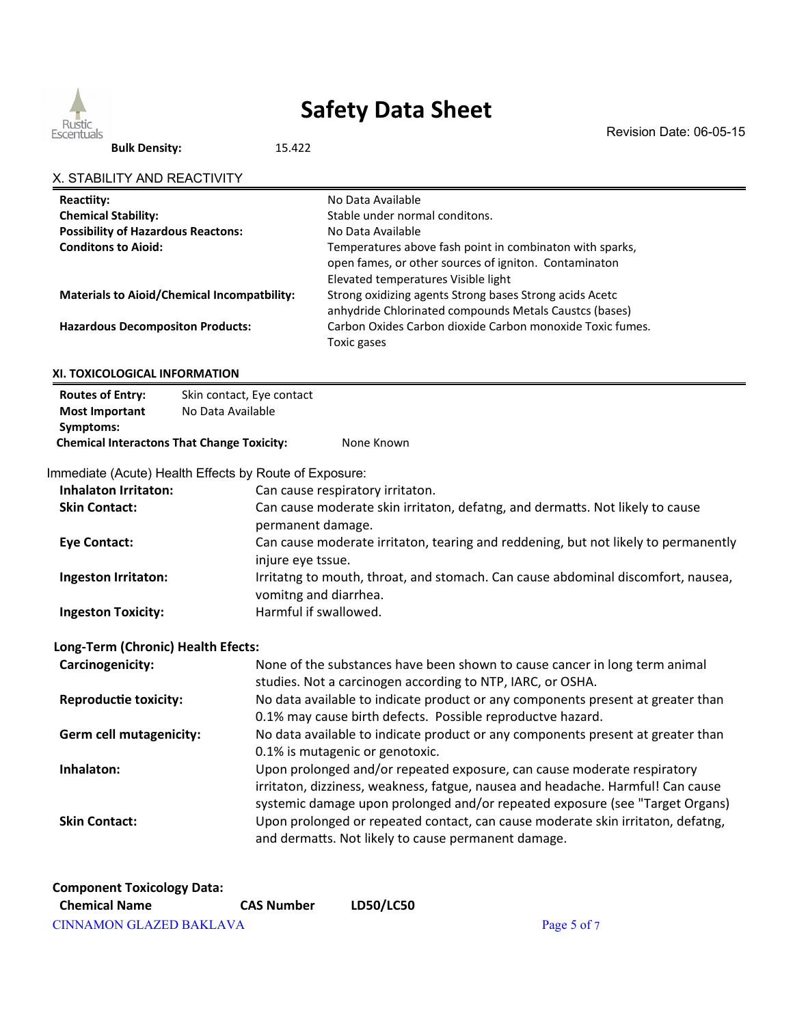

Revision Date: 06-05-15

**Bulk Density:** 15.422

| Reactiity:                                        |                                                        | No Data Available                                                                  |  |  |
|---------------------------------------------------|--------------------------------------------------------|------------------------------------------------------------------------------------|--|--|
| <b>Chemical Stability:</b>                        |                                                        | Stable under normal conditons.                                                     |  |  |
| <b>Possibility of Hazardous Reactons:</b>         |                                                        | No Data Available                                                                  |  |  |
| <b>Conditons to Aioid:</b>                        |                                                        | Temperatures above fash point in combinaton with sparks,                           |  |  |
|                                                   |                                                        | open fames, or other sources of igniton. Contaminaton                              |  |  |
|                                                   |                                                        | Elevated temperatures Visible light                                                |  |  |
|                                                   | <b>Materials to Aioid/Chemical Incompatbility:</b>     | Strong oxidizing agents Strong bases Strong acids Acetc                            |  |  |
|                                                   |                                                        | anhydride Chlorinated compounds Metals Caustcs (bases)                             |  |  |
| <b>Hazardous Decompositon Products:</b>           |                                                        | Carbon Oxides Carbon dioxide Carbon monoxide Toxic fumes.                          |  |  |
|                                                   |                                                        | Toxic gases                                                                        |  |  |
| XI. TOXICOLOGICAL INFORMATION                     |                                                        |                                                                                    |  |  |
| <b>Routes of Entry:</b>                           | Skin contact, Eye contact                              |                                                                                    |  |  |
| <b>Most Important</b>                             | No Data Available                                      |                                                                                    |  |  |
| Symptoms:                                         |                                                        |                                                                                    |  |  |
| <b>Chemical Interactons That Change Toxicity:</b> |                                                        | None Known                                                                         |  |  |
|                                                   | Immediate (Acute) Health Effects by Route of Exposure: |                                                                                    |  |  |
| <b>Inhalaton Irritaton:</b>                       |                                                        | Can cause respiratory irritaton.                                                   |  |  |
| <b>Skin Contact:</b>                              |                                                        | Can cause moderate skin irritaton, defatng, and dermatts. Not likely to cause      |  |  |
|                                                   | permanent damage.                                      |                                                                                    |  |  |
| <b>Eye Contact:</b>                               |                                                        | Can cause moderate irritaton, tearing and reddening, but not likely to permanently |  |  |
|                                                   | injure eye tssue.                                      |                                                                                    |  |  |
| Ingeston Irritaton:                               |                                                        | Irritatng to mouth, throat, and stomach. Can cause abdominal discomfort, nausea,   |  |  |
|                                                   | vomitng and diarrhea.                                  |                                                                                    |  |  |
| <b>Ingeston Toxicity:</b>                         | Harmful if swallowed.                                  |                                                                                    |  |  |
|                                                   |                                                        |                                                                                    |  |  |
| Long-Term (Chronic) Health Efects:                |                                                        |                                                                                    |  |  |
| Carcinogenicity:                                  |                                                        | None of the substances have been shown to cause cancer in long term animal         |  |  |
|                                                   |                                                        | studies. Not a carcinogen according to NTP, IARC, or OSHA.                         |  |  |
| <b>Reproductie toxicity:</b>                      |                                                        | No data available to indicate product or any components present at greater than    |  |  |
|                                                   |                                                        | 0.1% may cause birth defects. Possible reproductve hazard.                         |  |  |
| Germ cell mutagenicity:                           |                                                        | No data available to indicate product or any components present at greater than    |  |  |
|                                                   |                                                        | 0.1% is mutagenic or genotoxic.                                                    |  |  |
| Inhalaton:                                        |                                                        | Upon prolonged and/or repeated exposure, can cause moderate respiratory            |  |  |
|                                                   |                                                        | irritaton, dizziness, weakness, fatgue, nausea and headache. Harmful! Can cause    |  |  |
|                                                   |                                                        | systemic damage upon prolonged and/or repeated exposure (see "Target Organs)       |  |  |
| <b>Skin Contact:</b>                              |                                                        | Upon prolonged or repeated contact, can cause moderate skin irritaton, defatng,    |  |  |
|                                                   |                                                        | and dermatts. Not likely to cause permanent damage.                                |  |  |
|                                                   |                                                        |                                                                                    |  |  |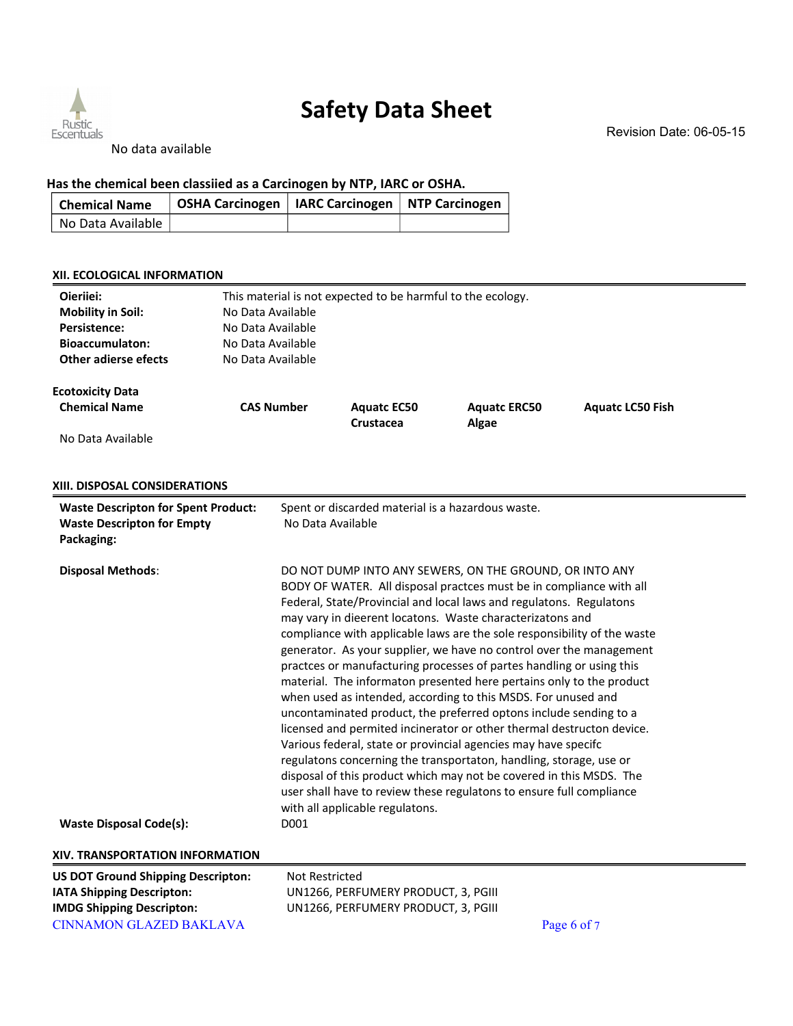

No data available

### **Has the chemical been classiied as a Carcinogen by NTP, IARC or OSHA.**

| <b>Chemical Name</b> | OSHA Carcinogen   IARC Carcinogen   NTP Carcinogen |  |
|----------------------|----------------------------------------------------|--|
| No Data Available    |                                                    |  |

#### **XII. ECOLOGICAL INFORMATION**

| Oieriiei:<br><b>Mobility in Soil:</b><br>Persistence:<br><b>Bioaccumulaton:</b><br><b>Other adierse efects</b> | This material is not expected to be harmful to the ecology.<br>No Data Available<br>No Data Available<br>No Data Available<br>No Data Available |                                                                            |                                                                                                                                                                                                                                                                                                                                                                                                                                                                                                                                                                                                                                                                                                                                                                                                                                                                                                                                                                                                                                                                             |                         |  |
|----------------------------------------------------------------------------------------------------------------|-------------------------------------------------------------------------------------------------------------------------------------------------|----------------------------------------------------------------------------|-----------------------------------------------------------------------------------------------------------------------------------------------------------------------------------------------------------------------------------------------------------------------------------------------------------------------------------------------------------------------------------------------------------------------------------------------------------------------------------------------------------------------------------------------------------------------------------------------------------------------------------------------------------------------------------------------------------------------------------------------------------------------------------------------------------------------------------------------------------------------------------------------------------------------------------------------------------------------------------------------------------------------------------------------------------------------------|-------------------------|--|
| <b>Ecotoxicity Data</b><br><b>Chemical Name</b>                                                                | <b>CAS Number</b>                                                                                                                               | <b>Aquatc EC50</b><br>Crustacea                                            | <b>Aquatc ERC50</b><br>Algae                                                                                                                                                                                                                                                                                                                                                                                                                                                                                                                                                                                                                                                                                                                                                                                                                                                                                                                                                                                                                                                | <b>Aquatc LC50 Fish</b> |  |
| No Data Available                                                                                              |                                                                                                                                                 |                                                                            |                                                                                                                                                                                                                                                                                                                                                                                                                                                                                                                                                                                                                                                                                                                                                                                                                                                                                                                                                                                                                                                                             |                         |  |
| XIII. DISPOSAL CONSIDERATIONS                                                                                  |                                                                                                                                                 |                                                                            |                                                                                                                                                                                                                                                                                                                                                                                                                                                                                                                                                                                                                                                                                                                                                                                                                                                                                                                                                                                                                                                                             |                         |  |
| <b>Waste Descripton for Spent Product:</b><br><b>Waste Descripton for Empty</b><br>Packaging:                  | No Data Available                                                                                                                               | Spent or discarded material is a hazardous waste.                          |                                                                                                                                                                                                                                                                                                                                                                                                                                                                                                                                                                                                                                                                                                                                                                                                                                                                                                                                                                                                                                                                             |                         |  |
| <b>Disposal Methods:</b><br><b>Waste Disposal Code(s):</b>                                                     | D001                                                                                                                                            | with all applicable regulatons.                                            | DO NOT DUMP INTO ANY SEWERS, ON THE GROUND, OR INTO ANY<br>BODY OF WATER. All disposal practces must be in compliance with all<br>Federal, State/Provincial and local laws and regulatons. Regulatons<br>may vary in dieerent locatons. Waste characterizatons and<br>compliance with applicable laws are the sole responsibility of the waste<br>generator. As your supplier, we have no control over the management<br>practces or manufacturing processes of partes handling or using this<br>material. The informaton presented here pertains only to the product<br>when used as intended, according to this MSDS. For unused and<br>uncontaminated product, the preferred optons include sending to a<br>licensed and permited incinerator or other thermal destructon device.<br>Various federal, state or provincial agencies may have specifc<br>regulatons concerning the transportaton, handling, storage, use or<br>disposal of this product which may not be covered in this MSDS. The<br>user shall have to review these regulatons to ensure full compliance |                         |  |
| XIV. TRANSPORTATION INFORMATION                                                                                |                                                                                                                                                 |                                                                            |                                                                                                                                                                                                                                                                                                                                                                                                                                                                                                                                                                                                                                                                                                                                                                                                                                                                                                                                                                                                                                                                             |                         |  |
| <b>US DOT Ground Shipping Descripton:</b>                                                                      | <b>Not Restricted</b>                                                                                                                           |                                                                            |                                                                                                                                                                                                                                                                                                                                                                                                                                                                                                                                                                                                                                                                                                                                                                                                                                                                                                                                                                                                                                                                             |                         |  |
| IATA Shipping Descripton:<br><b>IMDG Shipping Descripton:</b>                                                  |                                                                                                                                                 | UN1266, PERFUMERY PRODUCT, 3, PGIII<br>UN1266, PERFUMERY PRODUCT, 3, PGIII |                                                                                                                                                                                                                                                                                                                                                                                                                                                                                                                                                                                                                                                                                                                                                                                                                                                                                                                                                                                                                                                                             |                         |  |
| <b>CINNAMON GLAZED BAKLAVA</b>                                                                                 |                                                                                                                                                 |                                                                            |                                                                                                                                                                                                                                                                                                                                                                                                                                                                                                                                                                                                                                                                                                                                                                                                                                                                                                                                                                                                                                                                             | Page 6 of 7             |  |